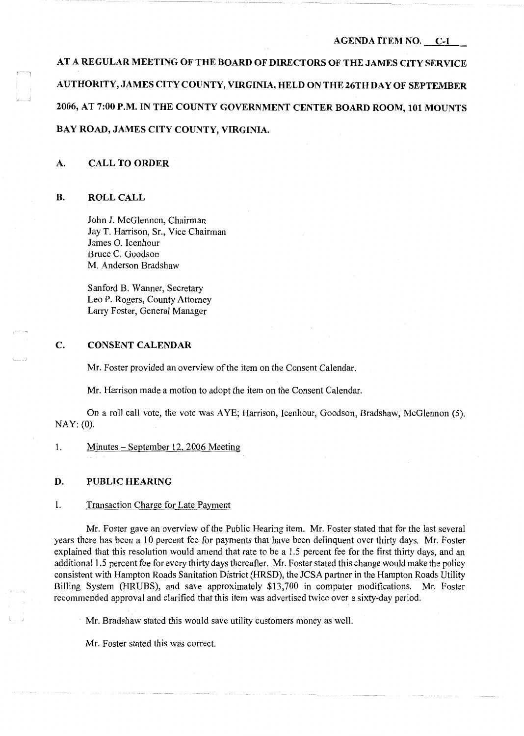#### **AGENDA ITEM NO.** C-1

**AT A REGULAR MEETING OF THE BOARD OF DIRECTORS OF THE JAMES CITY SERVICE AUTHORITY, JAMES CITY COUNTY, VIRGINIA, HELD ON THE 26TH DAY OF SEPTEMBER 2006, AT 7:00 P.M. IN THE COUNTY GOVERNMENT CENTER BOARD ROOM, 101 MOUNTS BAY ROAD, JAMES CITY COUNTY, VIRGINIA.** 

# **A. CALL TO ORDER**

## **B. ROLL CALL**

الاستنسا

John **J.** McGlennon, Chairman Jay T. Harrison, Sr., Vice Chairman James 0. Icenhour Bruce C. Goodson M. Anderson Bradshaw

Sanford B. Wanner, Secretary Leo P. Rogers, County Attorney Larry Foster, General Manager

# **C. CONSENT CALENDAR**

Mr. Foster provided an overview of the item on the Consent Calendar.

Mr. Harrison made a motion to adopt the item on the Consent Calendar.

On a roll call vote, the vote was AYE; Harrison, Icenhour, Goodson, Bradshaw, McGlennon (5). NAY: (0).

1. Minutes - September 12, 2006 Meeting

#### **D. PUBLIC HEARING**

## 1. Transaction Charge for Late Payment

Mr. Foster gave an overview of the Public Hearing item. Mr. Foster stated that for the last several years there has been a 10 percent fee for payments that have been delinquent over thirty days. Mr. Foster explained that this resolution would amend that rate to be a 1.5 percent fee for the first thirty days, and an additional 1.5 percent fee for every thirty days thereafter. Mr. Foster stated this change would make the policy consistent with Hampton Roads Sanitation District (HRSD), the JCSA partner in the Hampton Roads Utility Billing System (HRUBS), and save approximately \$13,700 in computer modifications. Mr. Foster recommended approval and clarified that this item was advertised twice over a sixty-day period.

Mr. Bradshaw stated this would save utility customers money as well.

Mr. Foster stated this was correct.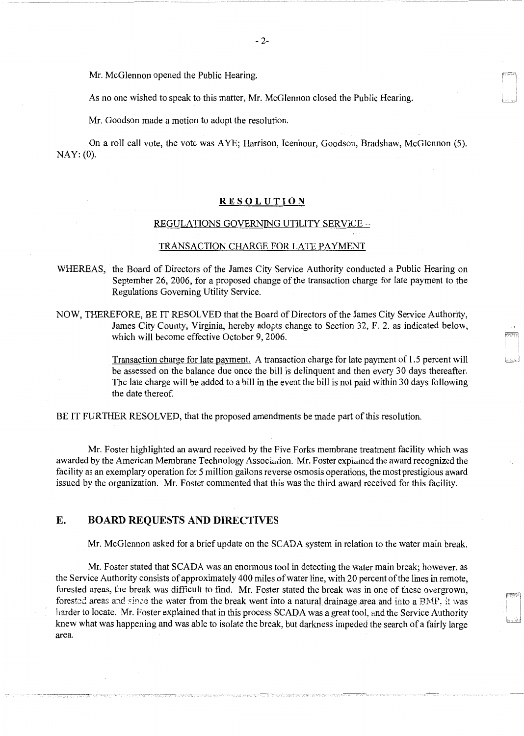Mr. McGlennon opened the Public Hearing.

As no one wished to speak to this matter, Mr. McGlennon closed the Public Hearing.

Mr. Goodson made a motion to adopt the resolution.

On a roll call vote, the vote was AYE; Harrison, Icenhour, Goodson, Bradshaw, McGlennon (5). NAY: (0).

#### **RESOLUTION**

## REGULATIONS GOVERNING UTILITY SERVICE-·

### TRANSACTION CHARGE FOR LATE PAYMENT

- WHEREAS, the Board of Directors of the James City Service Authority conducted a Public Hearing on September 26, 2006, for a proposed change of the transaction charge for late payment to the Regulations Governing Utility Service.
- NOW, THEREFORE, BE IT RESOLVED that the Board of Directors of the James City Service Authority, James City County, Virginia, hereby adopts change to Section 32, F. 2. as indicated below, which will become effective October 9, 2006.

Transaction charge for late payment. A transaction charge for late payment of 1.5 percent will be assessed on the balance due once the bill is delinquent and then every 30 days thereafter. The late charge will be added to a bill in the event the bill is not paid within 30 days following the date thereof.

BE IT FURTHER RESOLVED, that the proposed amendments be made part of this resolution.

Mr. Foster highlighted an award received by the Five Forks membrane treatment facility which was awarded by the American Membrane Technology Association. Mr. Foster explained the award recognized the facility as an exemplary operation for 5 million gallons reverse osmosis operations, the most prestigious award issued by the organization. Mr. Foster commented that this was the third award received for this facility.

# **E. BOARD REQUESTS AND DIRECTIVES**

Mr. McGlennon asked for a brief update on the SCADA system in relation to the water main break.

Mr. Foster stated that SCADA was an enormous tool in detecting the water main break; however, as the Service Authority consists of approximately 400 miles of water line, with 20 percent of the lines in remote, forested areas, the break was difficult to find. Mr. Foster stated the break was in one of these overgrown, forested areas and since the water from the break went into a natural drainage, area and into a BMP, it was harder to locate. Mr. Foster explained that in this process SCADA was a great tool, and the Service Authority knew what was happening and was able to isolate the break, but darkness impeded the search of a fairly large area.

--------~ - - ----------··-·---- \_\_\_\_\_\_\_\_ , \_\_\_ \_

----------------

i LJ